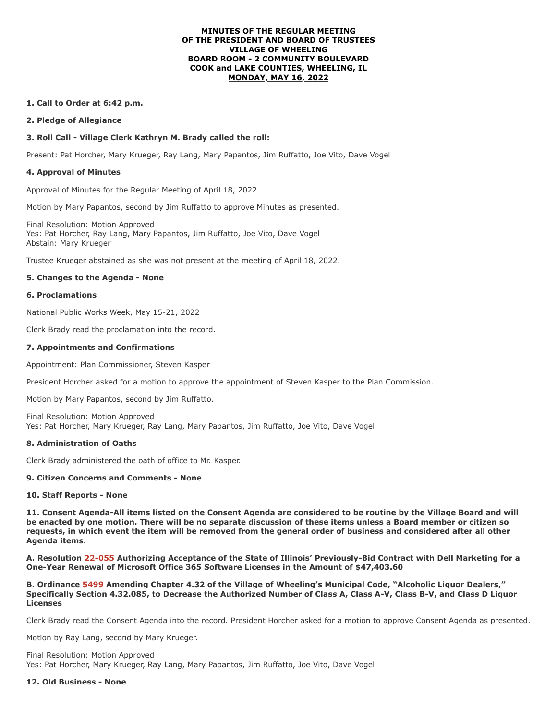#### **MINUTES OF THE REGULAR MEETING OF THE PRESIDENT AND BOARD OF TRUSTEES VILLAGE OF WHEELING BOARD ROOM - 2 COMMUNITY BOULEVARD COOK and LAKE COUNTIES, WHEELING, IL MONDAY, MAY 16, 2022**

## **1. Call to Order at 6:42 p.m.**

**2. Pledge of Allegiance**

## **3. Roll Call - Village Clerk Kathryn M. Brady called the roll:**

Present: Pat Horcher, Mary Krueger, Ray Lang, Mary Papantos, Jim Ruffatto, Joe Vito, Dave Vogel

## **4. Approval of Minutes**

Approval of Minutes for the Regular Meeting of April 18, 2022

Motion by Mary Papantos, second by Jim Ruffatto to approve Minutes as presented.

Final Resolution: Motion Approved Yes: Pat Horcher, Ray Lang, Mary Papantos, Jim Ruffatto, Joe Vito, Dave Vogel Abstain: Mary Krueger

Trustee Krueger abstained as she was not present at the meeting of April 18, 2022.

### **5. Changes to the Agenda - None**

#### **6. Proclamations**

National Public Works Week, May 15-21, 2022

Clerk Brady read the proclamation into the record.

### **7. Appointments and Confirmations**

Appointment: Plan Commissioner, Steven Kasper

President Horcher asked for a motion to approve the appointment of Steven Kasper to the Plan Commission.

Motion by Mary Papantos, second by Jim Ruffatto.

Final Resolution: Motion Approved Yes: Pat Horcher, Mary Krueger, Ray Lang, Mary Papantos, Jim Ruffatto, Joe Vito, Dave Vogel

# **8. Administration of Oaths**

Clerk Brady administered the oath of office to Mr. Kasper.

# **9. Citizen Concerns and Comments - None**

# **10. Staff Reports - None**

**11. Consent Agenda-All items listed on the Consent Agenda are considered to be routine by the Village Board and will be enacted by one motion. There will be no separate discussion of these items unless a Board member or citizen so requests, in which event the item will be removed from the general order of business and considered after all other Agenda items.**

**A. Resolution 22-055 Authorizing Acceptance of the State of Illinois' Previously-Bid Contract with Dell Marketing for a One-Year Renewal of Microsoft Office 365 Software Licenses in the Amount of \$47,403.60**

**B. Ordinance 5499 Amending Chapter 4.32 of the Village of Wheeling's Municipal Code, "Alcoholic Liquor Dealers," Specifically Section 4.32.085, to Decrease the Authorized Number of Class A, Class A-V, Class B-V, and Class D Liquor Licenses**

Clerk Brady read the Consent Agenda into the record. President Horcher asked for a motion to approve Consent Agenda as presented.

Motion by Ray Lang, second by Mary Krueger.

Final Resolution: Motion Approved Yes: Pat Horcher, Mary Krueger, Ray Lang, Mary Papantos, Jim Ruffatto, Joe Vito, Dave Vogel

#### **12. Old Business - None**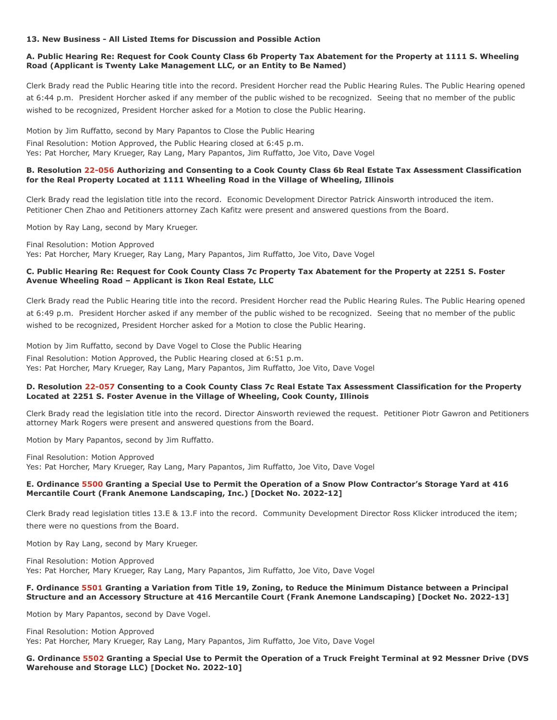## **13. New Business - All Listed Items for Discussion and Possible Action**

# **A. Public Hearing Re: Request for Cook County Class 6b Property Tax Abatement for the Property at 1111 S. Wheeling Road (Applicant is Twenty Lake Management LLC, or an Entity to Be Named)**

Clerk Brady read the Public Hearing title into the record. President Horcher read the Public Hearing Rules. The Public Hearing opened at 6:44 p.m. President Horcher asked if any member of the public wished to be recognized. Seeing that no member of the public wished to be recognized, President Horcher asked for a Motion to close the Public Hearing.

Motion by Jim Ruffatto, second by Mary Papantos to Close the Public Hearing

Final Resolution: Motion Approved, the Public Hearing closed at 6:45 p.m. Yes: Pat Horcher, Mary Krueger, Ray Lang, Mary Papantos, Jim Ruffatto, Joe Vito, Dave Vogel

### **B. Resolution 22-056 Authorizing and Consenting to a Cook County Class 6b Real Estate Tax Assessment Classification for the Real Property Located at 1111 Wheeling Road in the Village of Wheeling, Illinois**

Clerk Brady read the legislation title into the record. Economic Development Director Patrick Ainsworth introduced the item. Petitioner Chen Zhao and Petitioners attorney Zach Kafitz were present and answered questions from the Board.

Motion by Ray Lang, second by Mary Krueger.

Final Resolution: Motion Approved Yes: Pat Horcher, Mary Krueger, Ray Lang, Mary Papantos, Jim Ruffatto, Joe Vito, Dave Vogel

# **C. Public Hearing Re: Request for Cook County Class 7c Property Tax Abatement for the Property at 2251 S. Foster Avenue Wheeling Road – Applicant is Ikon Real Estate, LLC**

Clerk Brady read the Public Hearing title into the record. President Horcher read the Public Hearing Rules. The Public Hearing opened at 6:49 p.m. President Horcher asked if any member of the public wished to be recognized. Seeing that no member of the public wished to be recognized, President Horcher asked for a Motion to close the Public Hearing.

Motion by Jim Ruffatto, second by Dave Vogel to Close the Public Hearing Final Resolution: Motion Approved, the Public Hearing closed at 6:51 p.m. Yes: Pat Horcher, Mary Krueger, Ray Lang, Mary Papantos, Jim Ruffatto, Joe Vito, Dave Vogel

## **D. Resolution 22-057 Consenting to a Cook County Class 7c Real Estate Tax Assessment Classification for the Property Located at 2251 S. Foster Avenue in the Village of Wheeling, Cook County, Illinois**

Clerk Brady read the legislation title into the record. Director Ainsworth reviewed the request. Petitioner Piotr Gawron and Petitioners attorney Mark Rogers were present and answered questions from the Board.

Motion by Mary Papantos, second by Jim Ruffatto.

Final Resolution: Motion Approved Yes: Pat Horcher, Mary Krueger, Ray Lang, Mary Papantos, Jim Ruffatto, Joe Vito, Dave Vogel

# **E. Ordinance 5500 Granting a Special Use to Permit the Operation of a Snow Plow Contractor's Storage Yard at 416 Mercantile Court (Frank Anemone Landscaping, Inc.) [Docket No. 2022-12]**

Clerk Brady read legislation titles 13.E & 13.F into the record. Community Development Director Ross Klicker introduced the item; there were no questions from the Board.

Motion by Ray Lang, second by Mary Krueger.

Final Resolution: Motion Approved Yes: Pat Horcher, Mary Krueger, Ray Lang, Mary Papantos, Jim Ruffatto, Joe Vito, Dave Vogel

### **F. Ordinance 5501 Granting a Variation from Title 19, Zoning, to Reduce the Minimum Distance between a Principal Structure and an Accessory Structure at 416 Mercantile Court (Frank Anemone Landscaping) [Docket No. 2022-13]**

Motion by Mary Papantos, second by Dave Vogel.

Final Resolution: Motion Approved Yes: Pat Horcher, Mary Krueger, Ray Lang, Mary Papantos, Jim Ruffatto, Joe Vito, Dave Vogel

## **G. Ordinance 5502 Granting a Special Use to Permit the Operation of a Truck Freight Terminal at 92 Messner Drive (DVS Warehouse and Storage LLC) [Docket No. 2022-10]**